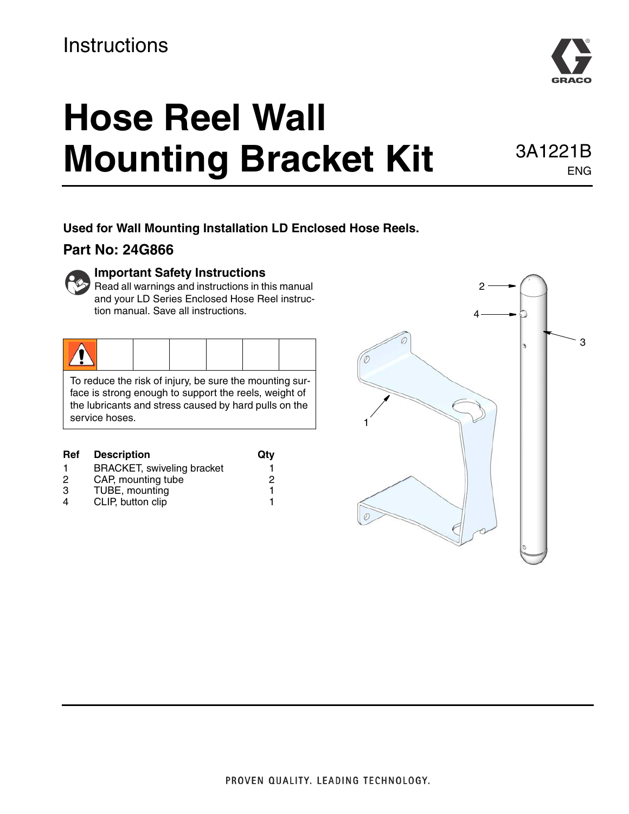# **Instructions**

# **Hose Reel Wall Mounting Bracket Kit** 3A1221B

**Used for Wall Mounting Installation LD Enclosed Hose Reels.** 

#### **Part No: 24G866**



 $\mathbf{F}$  Read all warnings and instructions in this manual and your LD Series Enclosed Hose Reel instruction manual. Save all instructions.

|--|

To reduce the risk of injury, be sure the mounting surface is strong enough to support the reels, weight of the lubricants and stress caused by hard pulls on the service hoses.

| <b>Ref</b> | <b>Description</b>                | Qtv |
|------------|-----------------------------------|-----|
|            | <b>BRACKET, swiveling bracket</b> |     |
| 2          | CAP, mounting tube                | 2   |
| 3          | TUBE, mounting                    |     |
| 4          | CLIP, button clip                 |     |





ENG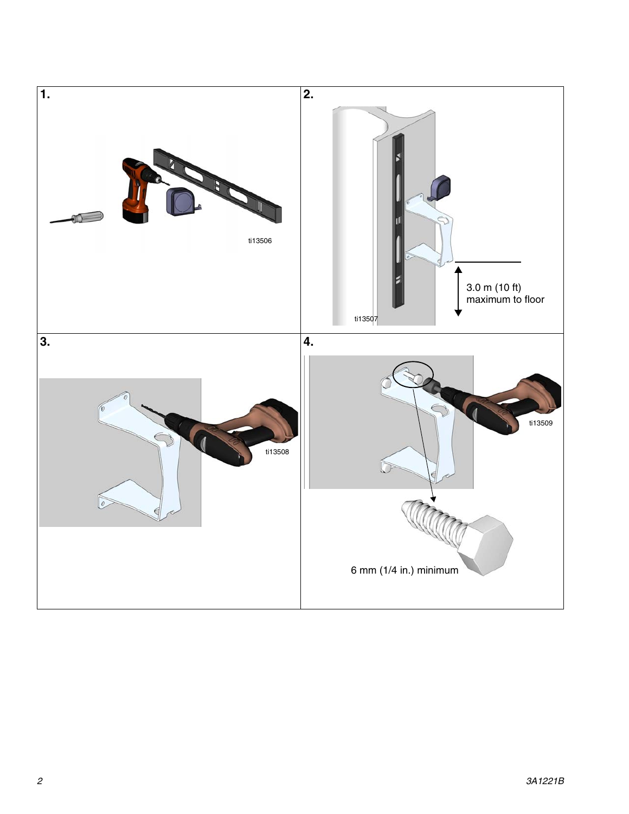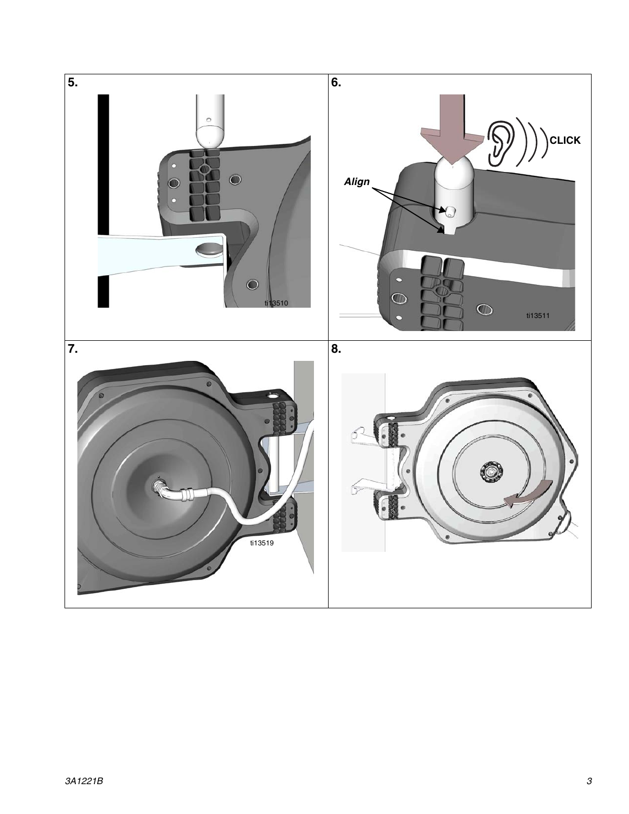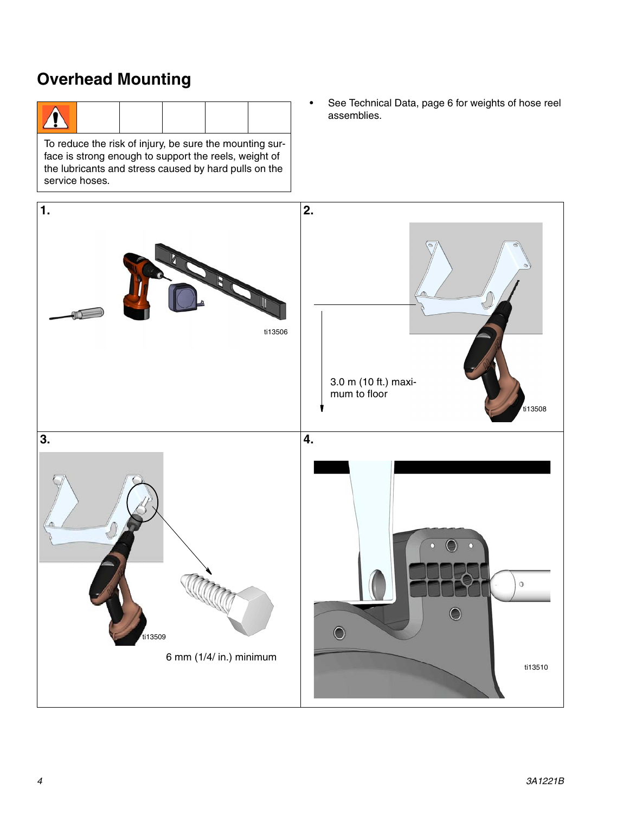### **Overhead Mounting**

To reduce the risk of injury, be sure the mounting surface is strong enough to support the reels, weight of the lubricants and stress caused by hard pulls on the service hoses.

• See Technical Data, page [6](#page-5-0) for weights of hose reel assemblies.

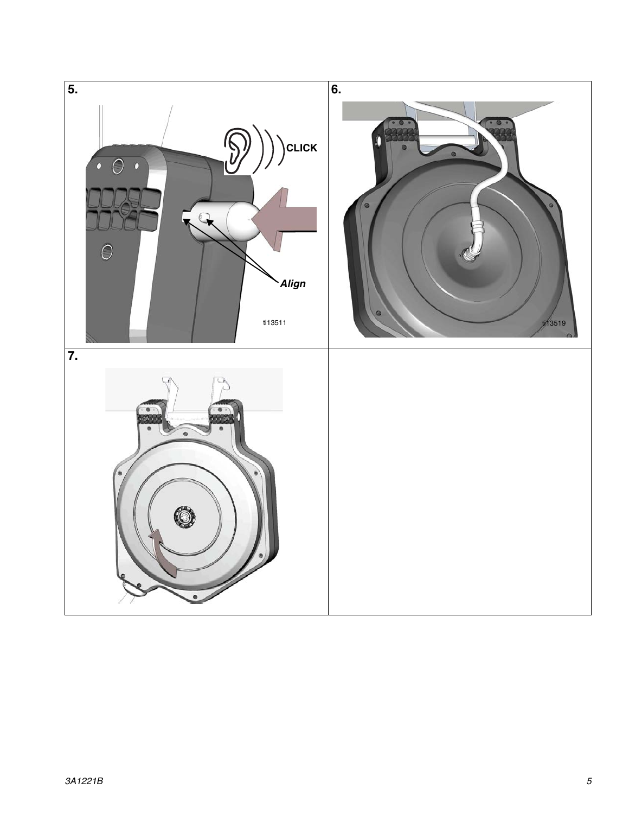